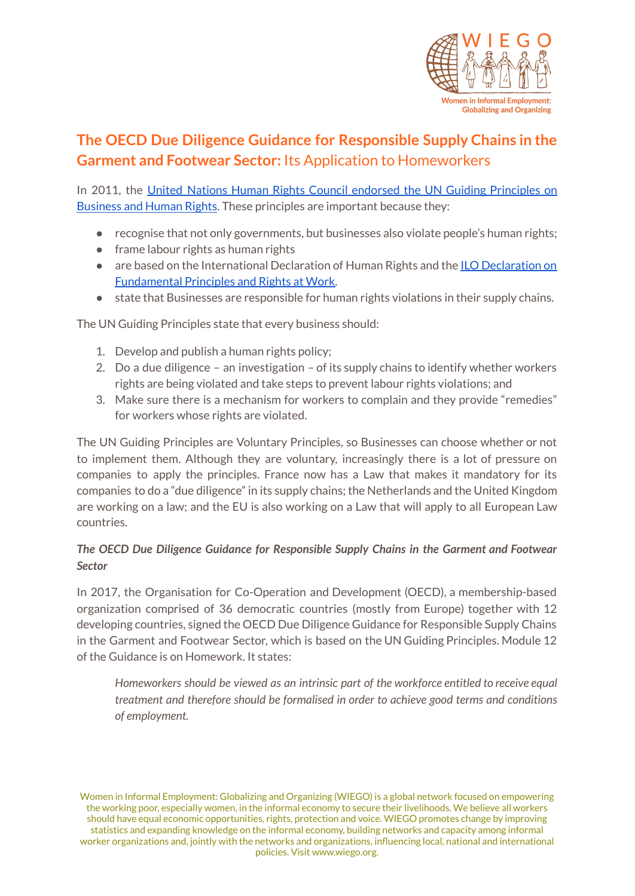

# **The OECD Due Diligence Guidance for Responsible Supply Chains in the Garment and Footwear Sector:** Its Application to Homeworkers

In 2011, the United Nations Human Rights Council endorsed the UN Guiding [Principles](https://www.ohchr.org/documents/publications/guidingprinciplesbusinesshr_en.pdf) on [Business](https://www.ohchr.org/documents/publications/guidingprinciplesbusinesshr_en.pdf) and Human Rights. These principles are important because they:

- recognise that not only governments, but businesses also violate people's human rights;
- frame labour rights as human rights
- are based on the International [Declaration](https://www.ilo.org/declaration/lang--en/index.htm) of Human Rights and the ILO Declaration on [Fundamental](https://www.ilo.org/declaration/lang--en/index.htm) Principles and Rights at Work.
- state that Businesses are responsible for human rights violations in their supply chains.

The UN Guiding Principles state that every business should:

- 1. Develop and publish a human rights policy;
- 2. Do a due diligence an investigation of its supply chains to identify whether workers rights are being violated and take steps to prevent labour rights violations; and
- 3. Make sure there is a mechanism for workers to complain and they provide "remedies" for workers whose rights are violated.

The UN Guiding Principles are Voluntary Principles, so Businesses can choose whether or not to implement them. Although they are voluntary, increasingly there is a lot of pressure on companies to apply the principles. France now has a Law that makes it mandatory for its companies to do a "due diligence" in its supply chains; the Netherlands and the United Kingdom are working on a law; and the EU is also working on a Law that will apply to all European Law countries.

## *The OECD Due Diligence Guidance for Responsible Supply Chains in the Garment and Footwear Sector*

In 2017, the Organisation for Co-Operation and Development (OECD), a membership-based organization comprised of 36 democratic countries (mostly from Europe) together with 12 developing countries, signed the OECD Due Diligence Guidance for Responsible Supply Chains in the Garment and Footwear Sector, which is based on the UN Guiding Principles. Module 12 of the Guidance is on Homework. It states:

*Homeworkers should be viewed as an intrinsic part of the workforce entitled to receive equal treatment and therefore should be formalised in order to achieve good terms and conditions of employment.*

Women in Informal Employment: Globalizing and Organizing (WIEGO) is a global network focused on empowering the working poor, especially women, in the informal economy to secure their livelihoods. We believe all workers should have equal economic opportunities, rights, protection and voice. WIEGO promotes change by improving statistics and expanding knowledge on the informal economy, building networks and capacity among informal worker organizations and, jointly with the networks and organizations, influencing local, national and international policies. Visit www.wiego.org.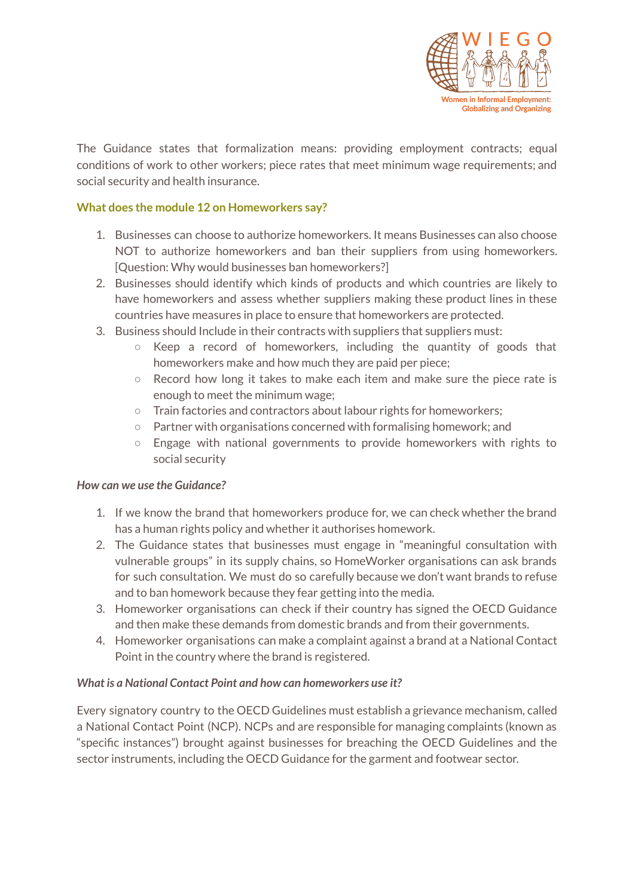

The Guidance states that formalization means: providing employment contracts; equal conditions of work to other workers; piece rates that meet minimum wage requirements; and social security and health insurance.

### **What does the module 12 on Homeworkers say?**

- 1. Businesses can choose to authorize homeworkers. It means Businesses can also choose NOT to authorize homeworkers and ban their suppliers from using homeworkers. [Question: Why would businesses ban homeworkers?]
- 2. Businesses should identify which kinds of products and which countries are likely to have homeworkers and assess whether suppliers making these product lines in these countries have measures in place to ensure that homeworkers are protected.
- 3. Business should Include in their contracts with suppliers that suppliers must:
	- Keep a record of homeworkers, including the quantity of goods that homeworkers make and how much they are paid per piece;
	- Record how long it takes to make each item and make sure the piece rate is enough to meet the minimum wage;
	- Train factories and contractors about labour rights for homeworkers;
	- Partner with organisations concerned with formalising homework; and
	- Engage with national governments to provide homeworkers with rights to social security

## *How can we use the Guidance?*

- 1. If we know the brand that homeworkers produce for, we can check whether the brand has a human rights policy and whether it authorises homework.
- 2. The Guidance states that businesses must engage in "meaningful consultation with vulnerable groups" in its supply chains, so HomeWorker organisations can ask brands for such consultation. We must do so carefully because we don't want brands to refuse and to ban homework because they fear getting into the media.
- 3. Homeworker organisations can check if their country has signed the OECD Guidance and then make these demands from domestic brands and from their governments.
- 4. Homeworker organisations can make a complaint against a brand at a National Contact Point in the country where the brand is registered.

#### *What is a National Contact Point and how can homeworkers use it?*

Every signatory country to the OECD Guidelines must establish a grievance mechanism, called a National Contact Point (NCP). NCPs and are responsible for managing complaints (known as "specific instances") brought against businesses for breaching the OECD Guidelines and the sector instruments, including the OECD Guidance for the garment and footwear sector.